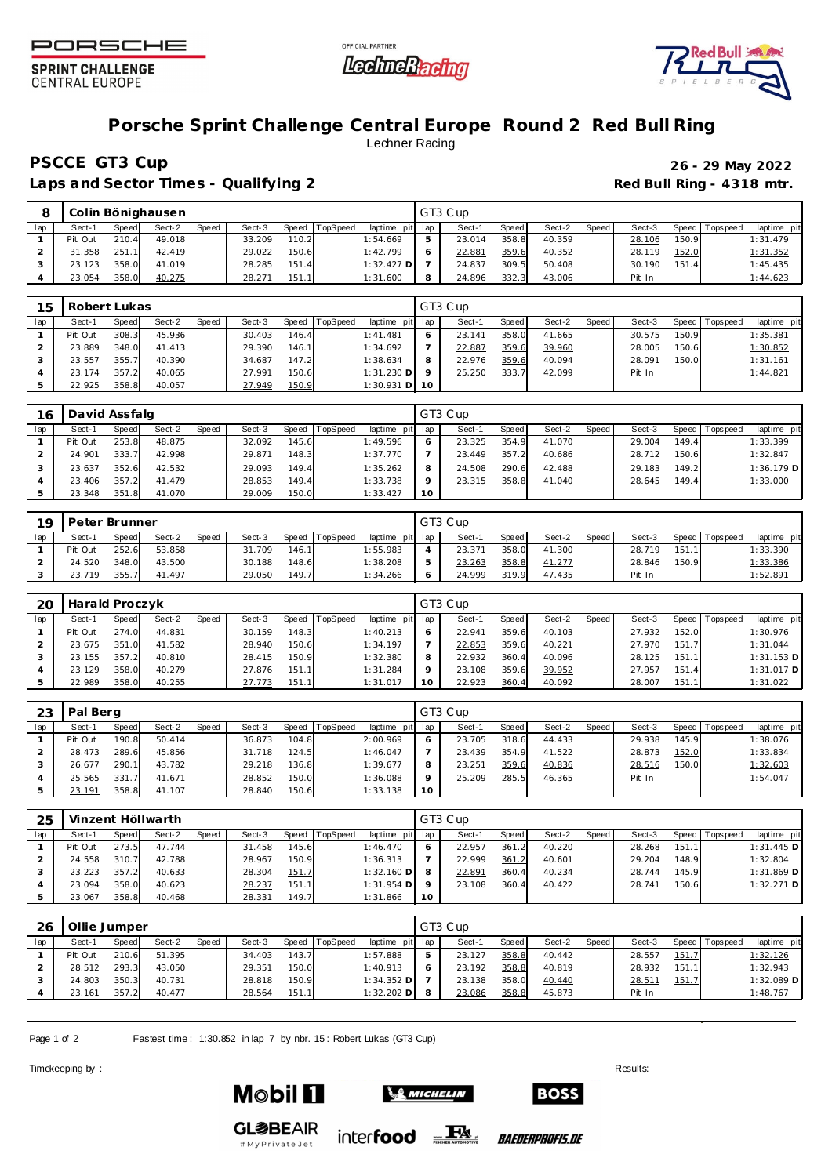

**SPRINT CHALLENGE CENTRAL EUROPE** 





## **Porsche Sprint Challenge Central Europe Round 2 Red Bull Ring** Lechner Racing

**PSCCE GT3 Cup 26 - 29 May 2022**

Laps and Sector Times - Qualifying 2 *Red Bull Ring - 4318 mtr.* **Red Bull Ring - 4318 mtr.** 

|     |         |       | Colin Bönighausen |       |        |       |          |                |     | GT3 Cup            |       |        |       |        |       |                 |             |
|-----|---------|-------|-------------------|-------|--------|-------|----------|----------------|-----|--------------------|-------|--------|-------|--------|-------|-----------------|-------------|
| lap | Sect-1  | Speed | Sect-2            | Speed | Sect-3 | Speed | TopSpeed | laptime<br>pit | lap | Sect-1             | Speed | Sect-2 | Speed | Sect-3 |       | Speed Tops peed | laptime pit |
|     | Pit Out | 210.4 | 49.018            |       | 33.209 | 110.2 |          | 1:54.669       |     | 23.014             | 358.8 | 40.359 |       | 28.106 | 150.9 |                 | 1:31.479    |
|     | 31.358  | 251.1 | 42.419            |       | 29.022 | 150.6 |          | 1:42.799       |     | 22.88 <sup>-</sup> | 359.6 | 40.352 |       | 28.119 | 152.0 |                 | 1:31.352    |
|     | 23.123  | 358.0 | 41.019            |       | 28.285 | 151.4 |          | $1:32.427$ D   |     | 24.837             | 309.5 | 50.408 |       | 30.190 | 151.4 |                 | 1:45.435    |
|     | 23.054  | 358.0 | 40.275            |       | 28.271 | 151.1 |          | 1:31.600       |     | 24.896             | 332.3 | 43.006 |       | Pit In |       |                 | 1:44.623    |

| 15  | Robert Lukas |       |        |       |        |       |                |                   |         | GT3 Cup |       |        |       |        |       |                |             |
|-----|--------------|-------|--------|-------|--------|-------|----------------|-------------------|---------|---------|-------|--------|-------|--------|-------|----------------|-------------|
| lap | Sect-1       | Speed | Sect-2 | Speed | Sect-3 |       | Speed TopSpeed | laptime pit lap   |         | Sect-1  | Speed | Sect-2 | Speed | Sect-3 |       | Speed Topspeed | laptime pit |
|     | Pit Out      | 308.3 | 45.936 |       | 30.403 | 146.4 |                | 1: 41.481         |         | 23.141  | 358.0 | 41.665 |       | 30.575 | 150.9 |                | 1:35.381    |
|     | 23.889       | 348.0 | 41.413 |       | 29.390 | 146.1 |                | 1:34.692          |         | 22.887  | 359.6 | 39.960 |       | 28.005 | 150.6 |                | 1:30.852    |
|     | 23.557       | 355.7 | 40.390 |       | 34.687 | 147.2 |                | 1:38.634          | 8       | 22.976  | 359.6 | 40.094 |       | 28.091 | 150.0 |                | 1:31.161    |
|     | 23.174       | 357.2 | 40.065 |       | 27.991 | 150.6 |                | $1:31.230$ D      | $\circ$ | 25.250  | 333.7 | 42.099 |       | Pit In |       |                | 1:44.821    |
|     | 22.925       | 358.8 | 40.057 |       | 27.949 | 150.9 |                | $1:30.931$ D $10$ |         |         |       |        |       |        |       |                |             |

| 16  | David Assfalg |       |        |       |        |         |          |                 |         | GT3 Cup |       |        |       |        |       |                 |              |
|-----|---------------|-------|--------|-------|--------|---------|----------|-----------------|---------|---------|-------|--------|-------|--------|-------|-----------------|--------------|
| lap | Sect-1        | Speed | Sect-2 | Speed | Sect-3 | Speed I | TopSpeed | laptime pit lap |         | Sect-   | Speed | Sect-2 | Speed | Sect-3 |       | Speed Tops peed | laptime pit  |
|     | Pit Out       | 253.8 | 48.875 |       | 32.092 | 145.6   |          | 1:49.596        | $\circ$ | 23.325  | 354.9 | 41.070 |       | 29.004 | 149.4 |                 | 1:33.399     |
|     | 24.901        | 333.7 | 42.998 |       | 29.871 | 148.3   |          | 1:37.770        |         | 23.449  | 357.2 | 40.686 |       | 28.712 | 150.6 |                 | 1:32.847     |
|     | 23.637        | 352.6 | 42.532 |       | 29.093 | 149.4   |          | 1:35.262        | 8       | 24.508  | 290.6 | 42.488 |       | 29.183 | 149.2 |                 | $1:36.179$ D |
|     | 23.406        | 357.2 | 41.479 |       | 28.853 | 149.4   |          | 1:33.738        | $\circ$ | 23.315  | 358.8 | 41.040 |       | 28.645 | 149.4 |                 | 1:33.000     |
|     | 23.348        | 351.8 | 41.070 |       | 29.009 | 150.0   |          | 1:33.427        | 10      |         |       |        |       |        |       |                 |              |

| 19  | Peter Brunner |       |        |       |        |       |                |             |     | GT3 Cup         |       |        |       |        |       |            |                 |
|-----|---------------|-------|--------|-------|--------|-------|----------------|-------------|-----|-----------------|-------|--------|-------|--------|-------|------------|-----------------|
| lap | Sect-′        | Speed | Sect-2 | Speed | Sect-3 |       | Speed TopSpeed | laptime pit | lap | Sect-           | Speed | Sect-2 | Speed | Sect-3 | Speed | Tops pee d | laptime pit     |
|     | Pit Out       | 252.6 | 53.858 |       | 31.709 | 146.1 |                | 1:55.983    |     | $23.37^{\circ}$ | 358.0 | 41.300 |       | 28.719 | 151.  |            | 1:33.390        |
|     | 24.520        | 348.0 | 43.500 |       | 30.188 | 148.6 |                | 1:38.208    |     | 23.263          | 358.8 | 41.277 |       | 28.846 | 150.9 |            | <u>1:33.386</u> |
|     | 23.719        | 355.  | 41.497 |       | 29.050 | 149.7 |                | 1:34.266    |     | 24.999          | 319.9 | 47.435 |       | Pit In |       |            | 1:52.891        |

| 20  | Harald Proczyk |       |        |       |        |         |                 |                 |    | GT3 Cup |       |        |       |        |       |                 |              |
|-----|----------------|-------|--------|-------|--------|---------|-----------------|-----------------|----|---------|-------|--------|-------|--------|-------|-----------------|--------------|
| lap | Sect-1         | Speed | Sect-2 | Speed | Sect-3 | Speed T | <b>TopSpeed</b> | laptime pit lap |    | Sect-1  | Speed | Sect-2 | Speed | Sect-3 |       | Speed Tops peed | laptime pit  |
|     | Pit Out        | 274.0 | 44.831 |       | 30.159 | 148.3   |                 | 1:40.213        |    | 22.941  | 359.6 | 40.103 |       | 27.932 | 152.0 |                 | 1:30.976     |
|     | 23.675         | 351.0 | 41.582 |       | 28.940 | 150.6   |                 | 1:34.197        |    | 22.853  | 359.6 | 40.221 |       | 27.970 | 151.7 |                 | 1:31.044     |
|     | 23.155         | 357.2 | 40.810 |       | 28.415 | 150.9   |                 | 1:32.380        | 8  | 22.932  | 360.4 | 40.096 |       | 28.125 | 151.1 |                 | $1:31.153$ D |
|     | 23.129         | 358.0 | 40.279 |       | 27.876 | 151.1   |                 | 1:31.284        |    | 23.108  | 359.6 | 39.952 |       | 27.957 | 151.4 |                 | $1:31.017$ D |
|     | 22.989         | 358.0 | 40.255 |       | 27.773 | 151.1   |                 | 1:31.017        | 10 | 22.923  | 360.4 | 40.092 |       | 28.007 | 151.1 |                 | 1:31.022     |

| 23  | Pal Berg |       |        |       |        |       |          |                 |         | GT3 Cup |       |        |       |        |       |                |             |
|-----|----------|-------|--------|-------|--------|-------|----------|-----------------|---------|---------|-------|--------|-------|--------|-------|----------------|-------------|
| lap | Sect-1   | Speed | Sect-2 | Speed | Sect-3 | Speed | TopSpeed | laptime pit lap |         | Sect-1  | Speed | Sect-2 | Speed | Sect-3 |       | Speed Topspeed | laptime pit |
|     | Pit Out  | 190.8 | 50.414 |       | 36.873 | 104.8 |          | 2:00.969        | 6       | 23.705  | 318.6 | 44.433 |       | 29.938 | 145.9 |                | 1:38.076    |
|     | 28.473   | 289.6 | 45.856 |       | 31.718 | 124.5 |          | 1:46.047        |         | 23.439  | 354.9 | 41.522 |       | 28.873 | 152.0 |                | 1:33.834    |
|     | 26.677   | 290.1 | 43.782 |       | 29.218 | 136.8 |          | 1:39.677        | 8       | 23.251  | 359.6 | 40.836 |       | 28.516 | 150.0 |                | 1:32.603    |
|     | 25.565   | 331.7 | 41.671 |       | 28.852 | 150.0 |          | 1:36.088        | $\circ$ | 25.209  | 285.5 | 46.365 |       | Pit In |       |                | 1:54.047    |
|     | 23.191   | 358.8 | 41.107 |       | 28.840 | 150.6 |          | 1:33.138        | 10      |         |       |        |       |        |       |                |             |

| 25  |         |       | Vinzent Höllwarth |       |        |       |          |                  |           | GT3 Cup |       |        |       |        |       |                 |              |
|-----|---------|-------|-------------------|-------|--------|-------|----------|------------------|-----------|---------|-------|--------|-------|--------|-------|-----------------|--------------|
| lap | Sect-1  | Speed | Sect-2            | Speed | Sect-3 | Speed | TopSpeed | laptime pit lap  |           | Sect-1  | Speed | Sect-2 | Speed | Sect-3 |       | Speed Tops peed | laptime pit  |
|     | Pit Out | 273.5 | 47.744            |       | 31.458 | 145.6 |          | 1:46.470         | $\circ$   | 22.957  | 361.2 | 40.220 |       | 28.268 | 151.1 |                 | $1:31.445$ D |
|     | 24.558  | 310.7 | 42.788            |       | 28.967 | 150.9 |          | 1:36.313         |           | 22.999  | 361.2 | 40.601 |       | 29.204 | 148.9 |                 | 1:32.804     |
|     | 23.223  | 357.2 | 40.633            |       | 28.304 | 151.7 |          | $1:32.160$ D $8$ |           | 22.891  | 360.4 | 40.234 |       | 28.744 | 145.9 |                 | $1:31.869$ D |
|     | 23.094  | 358.0 | 40.623            |       | 28.237 | 151.1 |          | $1:31.954$ D     | $\circ$   | 23.108  | 360.4 | 40.422 |       | 28.741 | 150.6 |                 | $1:32.271$ D |
|     | 23.067  | 358.8 | 40.468            |       | 28.331 | 149.7 |          | 1:31.866         | <b>10</b> |         |       |        |       |        |       |                 |              |

| 26  | Ollie Jumper |       |        |       |        |       |          |                 |   | GT3 Cup |       |        |       |        |       |                 |              |
|-----|--------------|-------|--------|-------|--------|-------|----------|-----------------|---|---------|-------|--------|-------|--------|-------|-----------------|--------------|
| lap | Sect-1       | Speed | Sect-2 | Speed | Sect-3 | Speed | TopSpeed | laptime pit lap |   | Sect-1  | Speed | Sect-2 | Speed | Sect-3 |       | Speed Tops peed | laptime pit  |
|     | Pit Out      | 210.6 | 51.395 |       | 34.403 | 143.7 |          | 1:57.888        |   | 23.127  | 358.8 | 40.442 |       | 28.557 | 151.7 |                 | 1:32.126     |
|     | 28.512       | 293.3 | 43.050 |       | 29.351 | 150.0 |          | 1:40.913        |   | 23.192  | 358.8 | 40.819 |       | 28.932 | 151.1 |                 | 1:32.943     |
|     | 24.803       | 350.3 | 40.731 |       | 28.818 | 150.9 |          | $1:34.352$ D    |   | 23.138  | 358.0 | 40.440 |       | 28.511 | 151.7 |                 | $1:32.089$ D |
|     | 23.161       | 357.2 | 40.477 |       | 28.564 | 151.1 |          | $1:32.202$ D    | 8 | 23.086  | 358.8 | 45.873 |       | Pit In |       |                 | 1:48.767     |

 $\mathcal{L}$  Michelin

Page 1 of 2 Fastest time: 1:30.852 in lap 7 by nbr. 15: Robert Lukas (GT3 Cup)

Timekeeping by : Results: Results: Results: Results: Results: Results: Results: Results: Results: Results: Results: Results: Results: Results: Results: Results: Results: Results: Results: Results: Results: Results: Results



**GL参BEAIR** #MyPrivateJet

**Mobil 11** 



*BAEDERPROFIS.DE*